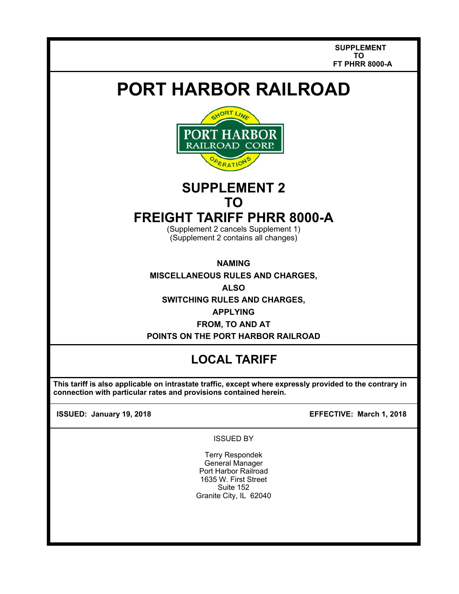**SUPPLEMENT TO FT PHRR 8000-A** 

# **PORT HARBOR RAILROAD**



## **SUPPLEMENT 2 TO**

### **FREIGHT TARIFF PHRR 8000-A**

(Supplement 2 cancels Supplement 1) (Supplement 2 contains all changes)

**NAMING** 

**MISCELLANEOUS RULES AND CHARGES,** 

**ALSO** 

**SWITCHING RULES AND CHARGES,** 

**APPLYING**

**FROM, TO AND AT POINTS ON THE PORT HARBOR RAILROAD** 

### **LOCAL TARIFF**

 **This tariff is also applicable on intrastate traffic, except where expressly provided to the contrary in connection with particular rates and provisions contained herein.** 

**ISSUED: January 19, 2018 EFFECTIVE: March 1, 2018**

ISSUED BY

Terry Respondek General Manager Port Harbor Railroad 1635 W. First Street Suite 152 Granite City, IL 62040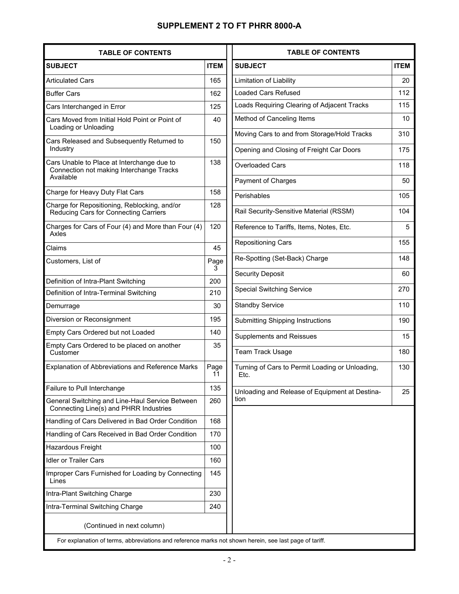#### **SUPPLEMENT 2 TO FT PHRR 8000-A**

| <b>TABLE OF CONTENTS</b>                                                                            |             |
|-----------------------------------------------------------------------------------------------------|-------------|
| <b>SUBJECT</b>                                                                                      | <b>ITEM</b> |
| <b>Articulated Cars</b>                                                                             | 165         |
| <b>Buffer Cars</b>                                                                                  | 162         |
| Cars Interchanged in Error                                                                          | 125         |
| Cars Moved from Initial Hold Point or Point of<br>Loading or Unloading                              | 40          |
| Cars Released and Subsequently Returned to<br>Industry                                              | 150         |
| Cars Unable to Place at Interchange due to<br>Connection not making Interchange Tracks<br>Available | 138         |
| Charge for Heavy Duty Flat Cars                                                                     | 158         |
| Charge for Repositioning, Reblocking, and/or<br>Reducing Cars for Connecting Carriers               | 128         |
| Charges for Cars of Four (4) and More than Four (4)<br>Axles                                        | 120         |
| Claims                                                                                              | 45          |
| Customers, List of                                                                                  | Page<br>3   |
| Definition of Intra-Plant Switching                                                                 | 200         |
| Definition of Intra-Terminal Switching                                                              | 210         |
| Demurrage                                                                                           | 30          |
| Diversion or Reconsignment                                                                          | 195         |
| Empty Cars Ordered but not Loaded                                                                   | 140         |
| Empty Cars Ordered to be placed on another<br>Customer                                              | 35          |
| Explanation of Abbreviations and Reference Marks                                                    | Page<br>11  |
| Failure to Pull Interchange                                                                         | 135         |
| General Switching and Line-Haul Service Between<br>Connecting Line(s) and PHRR Industries           | 260         |
| Handling of Cars Delivered in Bad Order Condition                                                   | 168         |
| Handling of Cars Received in Bad Order Condition                                                    | 170         |
| Hazardous Freight                                                                                   | 100         |
| <b>Idler or Trailer Cars</b>                                                                        | 160         |
| Improper Cars Furnished for Loading by Connecting<br>Lines                                          | 145         |
| Intra-Plant Switching Charge                                                                        | 230         |
| Intra-Terminal Switching Charge                                                                     | 240         |
| (Continued in next column)                                                                          |             |
|                                                                                                     |             |

| <b>TABLE OF CONTENTS</b>                                |             |
|---------------------------------------------------------|-------------|
| <b>SUBJECT</b>                                          | <b>ITEM</b> |
| Limitation of Liability                                 | 20          |
| Loaded Cars Refused                                     | 112         |
| Loads Requiring Clearing of Adjacent Tracks             | 115         |
| Method of Canceling Items                               | 10          |
| Moving Cars to and from Storage/Hold Tracks             | 310         |
| Opening and Closing of Freight Car Doors                | 175         |
| <b>Overloaded Cars</b>                                  | 118         |
| Payment of Charges                                      | 50          |
| Perishables                                             | 105         |
| Rail Security-Sensitive Material (RSSM)                 | 104         |
| Reference to Tariffs, Items, Notes, Etc.                | 5           |
| <b>Repositioning Cars</b>                               | 155         |
| Re-Spotting (Set-Back) Charge                           | 148         |
| <b>Security Deposit</b>                                 | 60          |
| <b>Special Switching Service</b>                        | 270         |
| <b>Standby Service</b>                                  | 110         |
| <b>Submitting Shipping Instructions</b>                 | 190         |
| <b>Supplements and Reissues</b>                         | 15          |
| <b>Team Track Usage</b>                                 | 180         |
| Turning of Cars to Permit Loading or Unloading,<br>Etc. | 130         |
| Unloading and Release of Equipment at Destina-<br>tion  | 25          |
|                                                         |             |

For explanation of terms, abbreviations and reference marks not shown herein, see last page of tariff.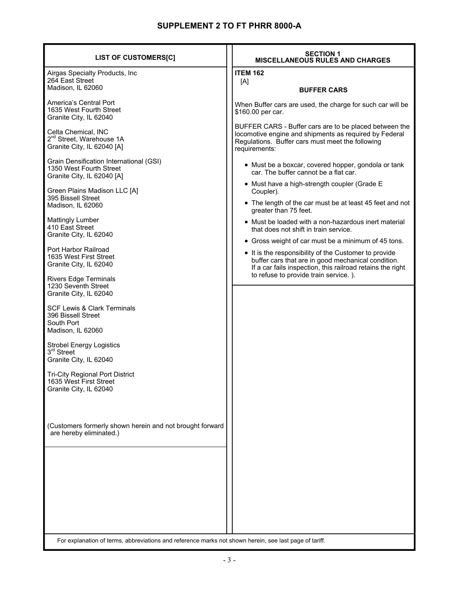| <b>LIST OF CUSTOMERS[C]</b>                                                                            | <b>SECTION 1</b><br><b>MISCELLANEOUS RULES AND CHARGES</b>                                                                                                                            |
|--------------------------------------------------------------------------------------------------------|---------------------------------------------------------------------------------------------------------------------------------------------------------------------------------------|
| Airgas Specialty Products, Inc<br>264 East Street                                                      | <b>ITEM 162</b><br>[A]                                                                                                                                                                |
| Madison, IL 62060                                                                                      | <b>BUFFER CARS</b>                                                                                                                                                                    |
| America's Central Port<br>1635 West Fourth Street<br>Granite City, IL 62040                            | When Buffer cars are used, the charge for such car will be<br>\$160.00 per car.                                                                                                       |
| Celta Chemical, INC<br>2 <sup>nd</sup> Street, Warehouse 1A<br>Granite City, IL 62040 [A]              | BUFFER CARS - Buffer cars are to be placed between the<br>locomotive engine and shipments as required by Federal<br>Regulations. Buffer cars must meet the following<br>requirements: |
| Grain Densification International (GSI)<br>1350 West Fourth Street<br>Granite City, IL 62040 [A]       | • Must be a boxcar, covered hopper, gondola or tank<br>car. The buffer cannot be a flat car.                                                                                          |
| Green Plains Madison LLC [A]                                                                           | • Must have a high-strength coupler (Grade E<br>Coupler).                                                                                                                             |
| 395 Bissell Street<br>Madison, IL 62060                                                                | • The length of the car must be at least 45 feet and not<br>greater than 75 feet.                                                                                                     |
| <b>Mattingly Lumber</b><br>410 East Street                                                             | • Must be loaded with a non-hazardous inert material<br>that does not shift in train service.                                                                                         |
| Granite City, IL 62040                                                                                 | • Gross weight of car must be a minimum of 45 tons.                                                                                                                                   |
| Port Harbor Railroad<br>1635 West First Street<br>Granite City, IL 62040                               | • It is the responsibility of the Customer to provide<br>buffer cars that are in good mechanical condition.<br>If a car fails inspection, this railroad retains the right             |
| <b>Rivers Edge Terminals</b><br>1230 Seventh Street<br>Granite City, IL 62040                          | to refuse to provide train service.).                                                                                                                                                 |
| <b>SCF Lewis &amp; Clark Terminals</b><br>396 Bissell Street<br>South Port<br>Madison, IL 62060        |                                                                                                                                                                                       |
| <b>Strobel Energy Logistics</b><br>3 <sup>rd</sup> Street<br>Granite City, IL 62040                    |                                                                                                                                                                                       |
| <b>Tri-City Regional Port District</b><br>1635 West First Street<br>Granite City, IL 62040             |                                                                                                                                                                                       |
| (Customers formerly shown herein and not brought forward<br>are hereby eliminated.)                    |                                                                                                                                                                                       |
|                                                                                                        |                                                                                                                                                                                       |
|                                                                                                        |                                                                                                                                                                                       |
|                                                                                                        |                                                                                                                                                                                       |
|                                                                                                        |                                                                                                                                                                                       |
| For explanation of terms, abbreviations and reference marks not shown herein, see last page of tariff. |                                                                                                                                                                                       |